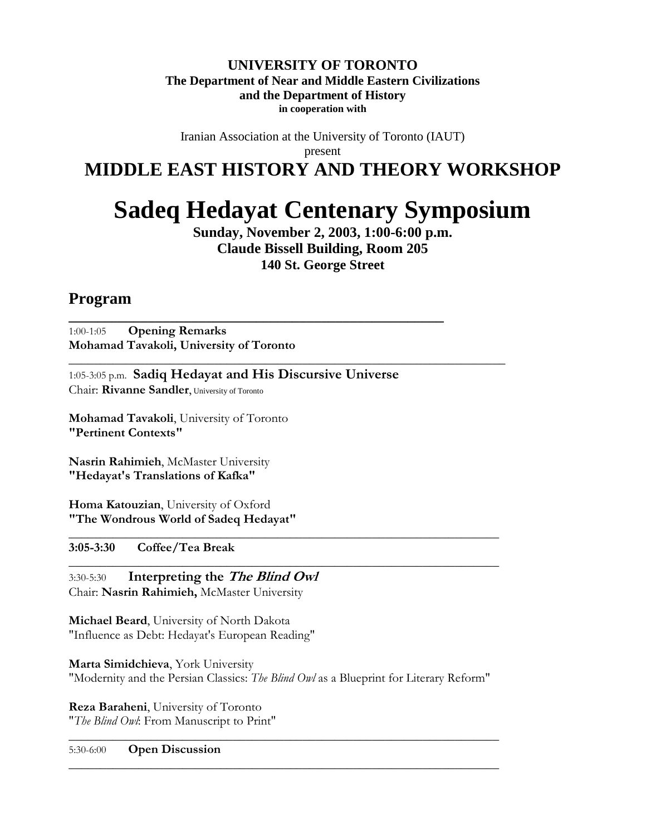#### **UNIVERSITY OF TORONTO The Department of Near and Middle Eastern Civilizations and the Department of History in cooperation with**

Iranian Association at the University of Toronto (IAUT) present

## **MIDDLE EAST HISTORY AND THEORY WORKSHOP**

# **Sadeq Hedayat Centenary Symposium**

**Sunday, November 2, 2003, 1:00-6:00 p.m. Claude Bissell Building, Room 205 140 St. George Street** 

### **Program**

1:00-1:05 **Opening Remarks Mohamad Tavakoli, University of Toronto**

1:05-3:05 p.m. **Sadiq Hedayat and His Discursive Universe** Chair: **Rivanne Sandler**, University of Toronto

**\_\_\_\_\_\_\_\_\_\_\_\_\_\_\_\_\_\_\_\_\_\_\_\_\_\_\_\_\_\_\_\_\_\_\_\_\_\_\_\_\_\_\_\_\_\_\_\_\_\_\_\_**

**\_\_\_\_\_\_\_\_\_\_\_\_\_\_\_\_\_\_\_\_\_\_\_\_\_\_\_\_\_\_\_\_\_\_\_\_\_\_\_\_\_\_\_\_\_\_\_\_\_\_\_\_\_\_\_\_\_\_\_\_\_\_\_\_\_\_\_\_\_**

**Mohamad Tavakoli**, University of Toronto **"Pertinent Contexts"**

**Nasrin Rahimieh**, McMaster University **"Hedayat's Translations of Kafka"**

**Homa Katouzian**, University of Oxford **"The Wondrous World of Sadeq Hedayat"**

**3:05-3:30 Coffee/Tea Break**

3:30-5:30 **Interpreting the The Blind Owl** Chair: **Nasrin Rahimieh,** McMaster University

**Michael Beard**, University of North Dakota "Influence as Debt: Hedayat's European Reading"

**Marta Simidchieva**, York University "Modernity and the Persian Classics: *The Blind Owl* as a Blueprint for Literary Reform"

\_\_\_\_\_\_\_\_\_\_\_\_\_\_\_\_\_\_\_\_\_\_\_\_\_\_\_\_\_\_\_\_\_\_\_\_\_\_\_\_\_\_\_\_\_\_\_\_\_\_\_\_\_\_\_\_\_\_\_\_\_\_\_\_\_\_\_\_

**\_\_\_\_\_\_\_\_\_\_\_\_\_\_\_\_\_\_\_\_\_\_\_\_\_\_\_\_\_\_\_\_\_\_\_\_\_\_\_\_\_\_\_\_\_\_\_\_\_\_\_\_\_\_\_\_\_\_\_\_\_\_\_\_\_\_\_\_**

**\_\_\_\_\_\_\_\_\_\_\_\_\_\_\_\_\_\_\_\_\_\_\_\_\_\_\_\_\_\_\_\_\_\_\_\_\_\_\_\_\_\_\_\_\_\_\_\_\_\_\_\_\_\_\_\_\_\_\_\_\_\_\_\_\_\_\_\_**

**\_\_\_\_\_\_\_\_\_\_\_\_\_\_\_\_\_\_\_\_\_\_\_\_\_\_\_\_\_\_\_\_\_\_\_\_\_\_\_\_\_\_\_\_\_\_\_\_\_\_\_\_\_\_\_\_\_\_\_\_\_\_\_\_\_\_\_\_**

**Reza Baraheni**, University of Toronto "*The Blind Owl*: From Manuscript to Print"

5:30-6:00 **Open Discussion**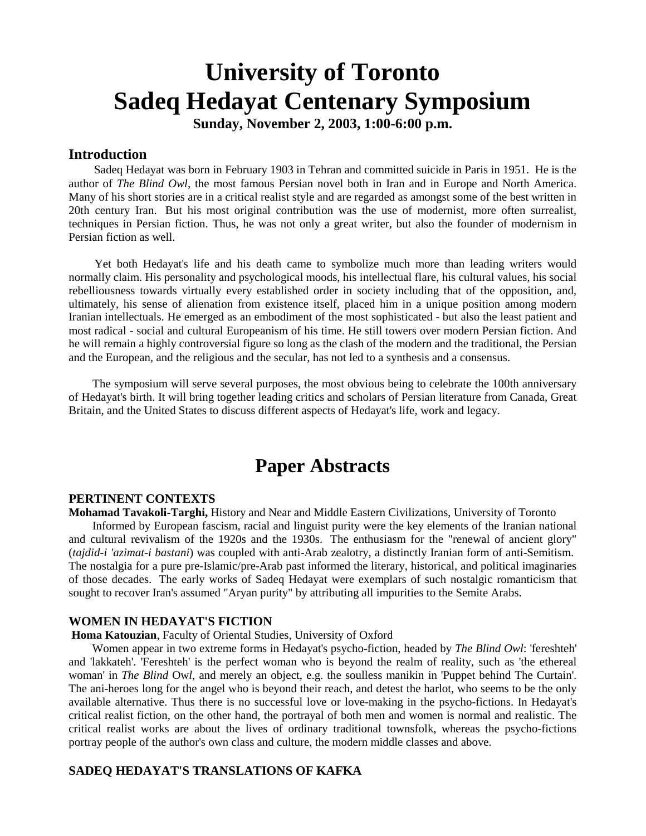## **University of Toronto Sadeq Hedayat Centenary Symposium**

**Sunday, November 2, 2003, 1:00-6:00 p.m.**

#### **Introduction**

 Sadeq Hedayat was born in February 1903 in Tehran and committed suicide in Paris in 1951. He is the author of *The Blind Owl*, the most famous Persian novel both in Iran and in Europe and North America. Many of his short stories are in a critical realist style and are regarded as amongst some of the best written in 20th century Iran. But his most original contribution was the use of modernist, more often surrealist, techniques in Persian fiction. Thus, he was not only a great writer, but also the founder of modernism in Persian fiction as well.

 Yet both Hedayat's life and his death came to symbolize much more than leading writers would normally claim. His personality and psychological moods, his intellectual flare, his cultural values, his social rebelliousness towards virtually every established order in society including that of the opposition, and, ultimately, his sense of alienation from existence itself, placed him in a unique position among modern Iranian intellectuals. He emerged as an embodiment of the most sophisticated - but also the least patient and most radical - social and cultural Europeanism of his time. He still towers over modern Persian fiction. And he will remain a highly controversial figure so long as the clash of the modern and the traditional, the Persian and the European, and the religious and the secular, has not led to a synthesis and a consensus.

 The symposium will serve several purposes, the most obvious being to celebrate the 100th anniversary of Hedayat's birth. It will bring together leading critics and scholars of Persian literature from Canada, Great Britain, and the United States to discuss different aspects of Hedayat's life, work and legacy.

## **Paper Abstracts**

#### **PERTINENT CONTEXTS**

**Mohamad Tavakoli-Targhi,** History and Near and Middle Eastern Civilizations, University of Toronto Informed by European fascism, racial and linguist purity were the key elements of the Iranian national and cultural revivalism of the 1920s and the 1930s. The enthusiasm for the "renewal of ancient glory" (*tajdid-i 'azimat-i bastani*) was coupled with anti-Arab zealotry, a distinctly Iranian form of anti-Semitism. The nostalgia for a pure pre-Islamic/pre-Arab past informed the literary, historical, and political imaginaries of those decades. The early works of Sadeq Hedayat were exemplars of such nostalgic romanticism that sought to recover Iran's assumed "Aryan purity" by attributing all impurities to the Semite Arabs.

#### **WOMEN IN HEDAYAT'S FICTION**

#### **Homa Katouzian**, Faculty of Oriental Studies, University of Oxford

 Women appear in two extreme forms in Hedayat's psycho-fiction, headed by *The Blind Owl*: 'fereshteh' and 'lakkateh'. 'Fereshteh' is the perfect woman who is beyond the realm of reality, such as 'the ethereal woman' in *The Blind* Ow*l*, and merely an object, e.g. the soulless manikin in 'Puppet behind The Curtain'. The ani-heroes long for the angel who is beyond their reach, and detest the harlot, who seems to be the only available alternative. Thus there is no successful love or love-making in the psycho-fictions. In Hedayat's critical realist fiction, on the other hand, the portrayal of both men and women is normal and realistic. The critical realist works are about the lives of ordinary traditional townsfolk, whereas the psycho-fictions portray people of the author's own class and culture, the modern middle classes and above.

#### **SADEQ HEDAYAT'S TRANSLATIONS OF KAFKA**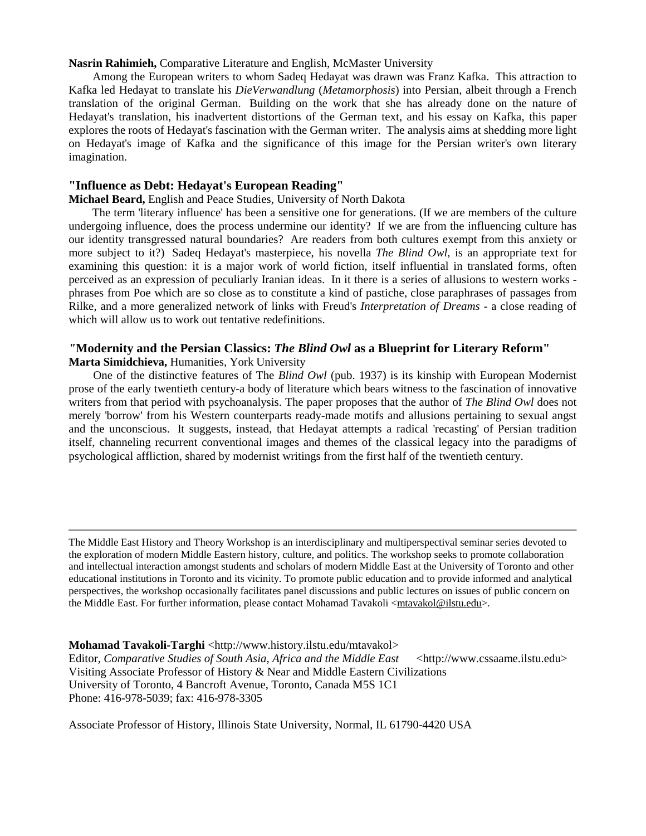#### **Nasrin Rahimieh,** Comparative Literature and English, McMaster University

 Among the European writers to whom Sadeq Hedayat was drawn was Franz Kafka. This attraction to Kafka led Hedayat to translate his *DieVerwandlung* (*Metamorphosis*) into Persian, albeit through a French translation of the original German. Building on the work that she has already done on the nature of Hedayat's translation, his inadvertent distortions of the German text, and his essay on Kafka, this paper explores the roots of Hedayat's fascination with the German writer. The analysis aims at shedding more light on Hedayat's image of Kafka and the significance of this image for the Persian writer's own literary imagination.

#### **"Influence as Debt: Hedayat's European Reading"**

#### **Michael Beard,** English and Peace Studies, University of North Dakota

 The term 'literary influence' has been a sensitive one for generations. (If we are members of the culture undergoing influence, does the process undermine our identity? If we are from the influencing culture has our identity transgressed natural boundaries? Are readers from both cultures exempt from this anxiety or more subject to it?) Sadeq Hedayat's masterpiece, his novella *The Blind Owl*, is an appropriate text for examining this question: it is a major work of world fiction, itself influential in translated forms, often perceived as an expression of peculiarly Iranian ideas. In it there is a series of allusions to western works phrases from Poe which are so close as to constitute a kind of pastiche, close paraphrases of passages from Rilke, and a more generalized network of links with Freud's *Interpretation of Dreams* - a close reading of which will allow us to work out tentative redefinitions.

#### *"***Modernity and the Persian Classics:** *The Blind Owl* **as a Blueprint for Literary Reform" Marta Simidchieva,** Humanities, York University

 One of the distinctive features of The *Blind Owl* (pub. 1937) is its kinship with European Modernist prose of the early twentieth century-a body of literature which bears witness to the fascination of innovative writers from that period with psychoanalysis. The paper proposes that the author of *The Blind Owl* does not merely 'borrow' from his Western counterparts ready-made motifs and allusions pertaining to sexual angst and the unconscious. It suggests, instead, that Hedayat attempts a radical 'recasting' of Persian tradition itself, channeling recurrent conventional images and themes of the classical legacy into the paradigms of psychological affliction, shared by modernist writings from the first half of the twentieth century.

**Mohamad Tavakoli-Targhi** <http://www.history.ilstu.edu/mtavakol>

Editor, *Comparative Studies of South Asia, Africa and the Middle East* <http://www.cssaame.ilstu.edu> Visiting Associate Professor of History & Near and Middle Eastern Civilizations University of Toronto, 4 Bancroft Avenue, Toronto, Canada M5S 1C1 Phone: 416-978-5039; fax: 416-978-3305

Associate Professor of History, Illinois State University, Normal, IL 61790-4420 USA

The Middle East History and Theory Workshop is an interdisciplinary and multiperspectival seminar series devoted to the exploration of modern Middle Eastern history, culture, and politics. The workshop seeks to promote collaboration and intellectual interaction amongst students and scholars of modern Middle East at the University of Toronto and other educational institutions in Toronto and its vicinity. To promote public education and to provide informed and analytical perspectives, the workshop occasionally facilitates panel discussions and public lectures on issues of public concern on the Middle East. For further information, please contact Mohamad Tavakoli < $mtavakol@ilstu.edu$ >.